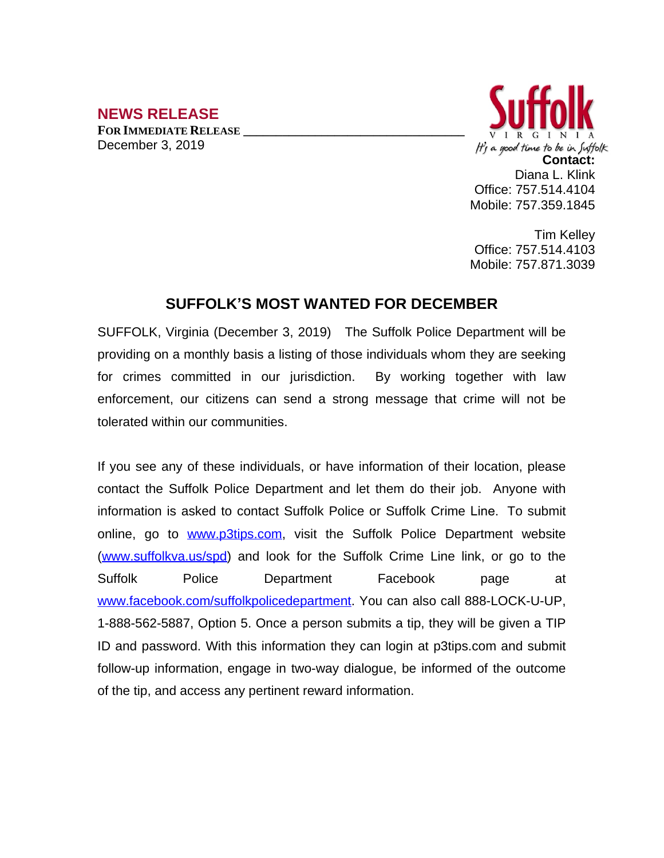## **NEWS RELEASE**

**FOR IMMEDIATE RELEASE \_\_\_\_\_\_\_\_\_\_\_\_\_\_\_\_\_\_\_\_\_\_\_\_\_\_\_\_\_\_\_\_\_\_** December 3, 2019



Tim Kelley Office: 757.514.4103 Mobile: 757.871.3039

## **SUFFOLK'S MOST WANTED FOR DECEMBER**

SUFFOLK, Virginia (December 3, 2019) The Suffolk Police Department will be providing on a monthly basis a listing of those individuals whom they are seeking for crimes committed in our jurisdiction. By working together with law enforcement, our citizens can send a strong message that crime will not be tolerated within our communities.

If you see any of these individuals, or have information of their location, please contact the Suffolk Police Department and let them do their job. Anyone with information is asked to contact Suffolk Police or Suffolk Crime Line. To submit online, go to [www.p3tips.com](http://www.p3tips.com), visit the Suffolk Police Department website ([www.suffolkva.us/spd](http://www.suffolkva.us/spd)) and look for the Suffolk Crime Line link, or go to the Suffolk Police Department Facebook page at [www.facebook.com/suffolkpolicedepartment](http://www.facebook.com/suffolkpolicedepartment). You can also call 888-LOCK-U-UP, 1-888-562-5887, Option 5. Once a person submits a tip, they will be given a TIP ID and password. With this information they can login at p3tips.com and submit follow-up information, engage in two-way dialogue, be informed of the outcome of the tip, and access any pertinent reward information.